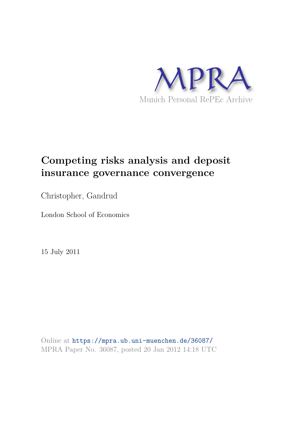

## **Competing risks analysis and deposit insurance governance convergence**

Christopher, Gandrud

London School of Economics

15 July 2011

Online at https://mpra.ub.uni-muenchen.de/36087/ MPRA Paper No. 36087, posted 20 Jan 2012 14:18 UTC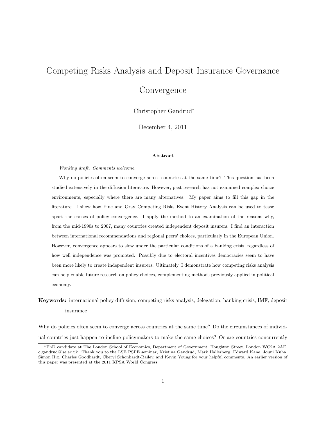# Competing Risks Analysis and Deposit Insurance Governance **Convergence**

Christopher Gandrud<sup>∗</sup>

December 4, 2011

#### Abstract

Working draft. Comments welcome.

Why do policies often seem to converge across countries at the same time? This question has been studied extensively in the diffusion literature. However, past research has not examined complex choice environments, especially where there are many alternatives. My paper aims to fill this gap in the literature. I show how Fine and Gray Competing Risks Event History Analysis can be used to tease apart the causes of policy convergence. I apply the method to an examination of the reasons why, from the mid-1990s to 2007, many countries created independent deposit insurers. I find an interaction between international recommendations and regional peers' choices, particularly in the European Union. However, convergence appears to slow under the particular conditions of a banking crisis, regardless of how well independence was promoted. Possibly due to electoral incentives democracies seem to have been more likely to create independent insurers. Ultimately, I demonstrate how competing risks analysis can help enable future research on policy choices, complementing methods previously applied in political economy.

## Keywords: international policy diffusion, competing risks analysis, delegation, banking crisis, IMF, deposit insurance

Why do policies often seem to converge across countries at the same time? Do the circumstances of individual countries just happen to incline policymakers to make the same choices? Or are countries concurrently

<sup>∗</sup>PhD candidate at The London School of Economics, Department of Government, Houghton Street, London WC2A 2AE, c.gandrud@lse.ac.uk. Thank you to the LSE PSPE seminar, Kristina Gandrud, Mark Hallerberg, Edward Kane, Jouni Kuha, Simon Hix, Charles Goodhardt, Cheryl Schonhardt-Bailey, and Kevin Young for your helpful comments. An earlier version of this paper was presented at the 2011 KPSA World Congress.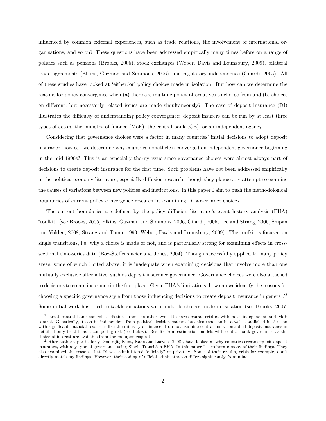influenced by common external experiences, such as trade relations, the involvement of international organisations, and so on? These questions have been addressed empirically many times before on a range of policies such as pensions (Brooks, 2005), stock exchanges (Weber, Davis and Lounsbury, 2009), bilateral trade agreements (Elkins, Guzman and Simmons, 2006), and regulatory independence (Gilardi, 2005). All of these studies have looked at 'either/or' policy choices made in isolation. But how can we determine the reasons for policy convergence when (a) there are multiple policy alternatives to choose from and (b) choices on different, but necessarily related issues are made simultaneously? The case of deposit insurance (DI) illustrates the difficulty of understanding policy convergence: deposit insurers can be run by at least three types of actors–the ministry of finance (MoF), the central bank (CB), or an independent agency.<sup>1</sup>

Considering that governance choices were a factor in many countries' initial decisions to adopt deposit insurance, how can we determine why countries nonetheless converged on independent governance beginning in the mid-1990s? This is an especially thorny issue since governance choices were almost always part of decisions to create deposit insurance for the first time. Such problems have not been addressed empirically in the political economy literature, especially diffusion research, though they plague any attempt to examine the causes of variations between new policies and institutions. In this paper I aim to push the methodological boundaries of current policy convergence research by examining DI governance choices.

The current boundaries are defined by the policy diffusion literature's event history analysis (EHA) "toolkit" (see Brooks, 2005, Elkins, Guzman and Simmons, 2006, Gilardi, 2005, Lee and Strang, 2006, Shipan and Volden, 2008, Strang and Tuma, 1993, Weber, Davis and Lounsbury, 2009). The toolkit is focused on single transitions, i.e. why a choice is made or not, and is particularly strong for examining effects in crosssectional time-series data (Box-Steffensmeier and Jones, 2004). Though successfully applied to many policy areas, some of which I cited above, it is inadequate when examining decisions that involve more than one mutually exclusive alternative, such as deposit insurance governance. Governance choices were also attached to decisions to create insurance in the first place. Given EHA's limitations, how can we identify the reasons for choosing a specific governance style from those influencing decisions to create deposit insurance in general?<sup>2</sup> Some initial work has tried to tackle situations with multiple choices made in isolation (see Brooks, 2007,

<sup>&</sup>lt;sup>1</sup>I treat central bank control as distinct from the other two. It shares characteristics with both independent and MoF control. Generically, it can be independent from political decision-makers, but also tends to be a well established institution with significant financial resources like the ministry of finance. I do not examine central bank controlled deposit insurance in detail. I only treat it as a competing risk (see below). Results from estimation models with central bank governance as the choice of interest are available from the me upon request.

<sup>2</sup>Other authors, particularly Demirgüç-Kunt, Kane and Laeven (2008), have looked at why countries create explicit deposit insurance, with any type of governance using Single Transition EHA. In this paper I corroborate many of their findings. They also examined the reasons that DI was administered "officially" or privately. Some of their results, crisis for example, don't directly match my findings. However, their coding of official administration differs significantly from mine.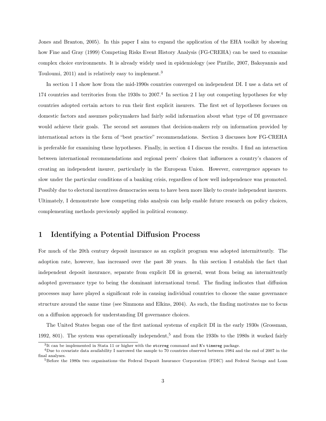Jones and Branton, 2005). In this paper I aim to expand the application of the EHA toolkit by showing how Fine and Gray (1999) Competing Risks Event History Analysis (FG-CREHA) can be used to examine complex choice environments. It is already widely used in epidemiology (see Pintilie, 2007, Bakoyannis and Touloumi, 2011) and is relatively easy to implement.<sup>3</sup>

In section 1 I show how from the mid-1990s countries converged on independent DI. I use a data set of 174 countries and territories from the 1930s to 2007.<sup>4</sup> In section 2 I lay out competing hypotheses for why countries adopted certain actors to run their first explicit insurers. The first set of hypotheses focuses on domestic factors and assumes policymakers had fairly solid information about what type of DI governance would achieve their goals. The second set assumes that decision-makers rely on information provided by international actors in the form of "best practice" recommendations. Section 3 discusses how FG-CREHA is preferable for examining these hypotheses. Finally, in section 4 I discuss the results. I find an interaction between international recommendations and regional peers' choices that influences a country's chances of creating an independent insurer, particularly in the European Union. However, convergence appears to slow under the particular conditions of a banking crisis, regardless of how well independence was promoted. Possibly due to electoral incentives democracies seem to have been more likely to create independent insurers. Ultimately, I demonstrate how competing risks analysis can help enable future research on policy choices, complementing methods previously applied in political economy.

## 1 Identifying a Potential Diffusion Process

For much of the 20th century deposit insurance as an explicit program was adopted intermittently. The adoption rate, however, has increased over the past 30 years. In this section I establish the fact that independent deposit insurance, separate from explicit DI in general, went from being an intermittently adopted governance type to being the dominant international trend. The finding indicates that diffusion processes may have played a significant role in causing individual countries to choose the same governance structure around the same time (see Simmons and Elkins, 2004). As such, the finding motivates me to focus on a diffusion approach for understanding DI governance choices.

The United States began one of the first national systems of explicit DI in the early 1930s (Grossman, 1992, 801). The system was operationally independent,<sup>5</sup> and from the 1930s to the 1980s it worked fairly

 ${}^{3}$ It can be implemented in Stata 11 or higher with the stcrreg command and R's timereg package.

 $4$ Due to covariate data availability I narrowed the sample to 70 countries observed between 1984 and the end of 2007 in the final analyses.

<sup>5</sup>Before the 1980s two organisations–the Federal Deposit Insurance Corporation (FDIC) and Federal Savings and Loan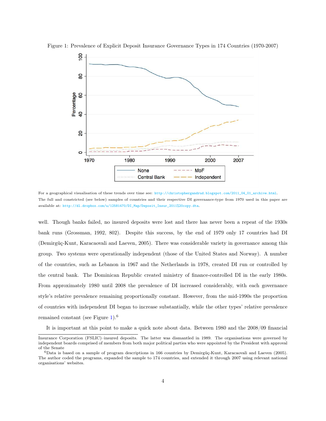

Figure 1: Prevalence of Explicit Deposit Insurance Governance Types in 174 Countries (1970-2007)

For a geographical visualisation of these trends over time see: http://christophergandrud.blogspot.com/2011\_04\_01\_archive.html. The full and constricted (see below) samples of countries and their respective DI governance-type from 1970 used in this paper are available at: http://dl.dropbox.com/u/12581470/DI\_Map/Deposit\_Insur\_2011%20copy.dta.

well. Though banks failed, no insured deposits were lost and there has never been a repeat of the 1930s bank runs (Grossman, 1992, 802). Despite this success, by the end of 1979 only 17 countries had DI (Demirgüç-Kunt, Karacaovali and Laeven, 2005). There was considerable variety in governance among this group. Two systems were operationally independent (those of the United States and Norway). A number of the countries, such as Lebanon in 1967 and the Netherlands in 1978, created DI run or controlled by the central bank. The Dominican Republic created ministry of finance-controlled DI in the early 1980s. From approximately 1980 until 2008 the prevalence of DI increased considerably, with each governance style's relative prevalence remaining proportionally constant. However, from the mid-1990s the proportion of countries with independent DI began to increase substantially, while the other types' relative prevalence remained constant (see Figure 1).<sup>6</sup>

It is important at this point to make a quick note about data. Between 1980 and the 2008/09 financial

Insurance Corporation (FSLIC)–insured deposits. The latter was dismantled in 1989. The organisations were governed by independent boards comprised of members from both major political parties who were appointed by the President with approval of the Senate

<sup>6</sup>Data is based on a sample of program descriptions in 166 countries by Demirgüç-Kunt, Karacaovali and Laeven (2005). The author coded the programs, expanded the sample to 174 countries, and extended it through 2007 using relevant national organisations' websites.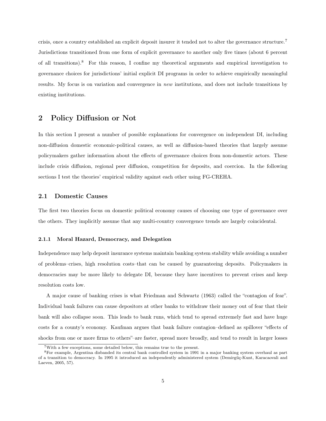crisis, once a country established an explicit deposit insurer it tended not to alter the governance structure.<sup>7</sup> Jurisdictions transitioned from one form of explicit governance to another only five times (about 6 percent of all transitions).<sup>8</sup> For this reason, I confine my theoretical arguments and empirical investigation to governance choices for jurisdictions' initial explicit DI programs in order to achieve empirically meaningful results. My focus is on variation and convergence in *new* institutions, and does not include transitions by existing institutions.

## 2 Policy Diffusion or Not

In this section I present a number of possible explanations for convergence on independent DI, including non-diffusion domestic economic-political causes, as well as diffusion-based theories that largely assume policymakers gather information about the effects of governance choices from non-domestic actors. These include crisis diffusion, regional peer diffusion, competition for deposits, and coercion. In the following sections I test the theories' empirical validity against each other using FG-CREHA.

#### 2.1 Domestic Causes

The first two theories focus on domestic political economy causes of choosing one type of governance over the others. They implicitly assume that any multi-country convergence trends are largely coincidental.

#### 2.1.1 Moral Hazard, Democracy, and Delegation

Independence may help deposit insurance systems maintain banking system stability while avoiding a number of problems–crises, high resolution costs–that can be caused by guaranteeing deposits. Policymakers in democracies may be more likely to delegate DI, because they have incentives to prevent crises and keep resolution costs low.

A major cause of banking crises is what Friedman and Schwartz (1963) called the "contagion of fear". Individual bank failures can cause depositors at other banks to withdraw their money out of fear that their bank will also collapse soon. This leads to bank runs, which tend to spread extremely fast and have huge costs for a county's economy. Kaufman argues that bank failure contagion–defined as spillover "effects of shocks from one or more firms to others"–are faster, spread more broadly, and tend to result in larger losses

<sup>7</sup>With a few exceptions, some detailed below, this remains true to the present.

<sup>8</sup>For example, Argentina disbanded its central bank controlled system in 1991 in a major banking system overhaul as part of a transition to democracy. In 1995 it introduced an independently administered system (Demirgüç-Kunt, Karacaovali and Laeven, 2005, 57).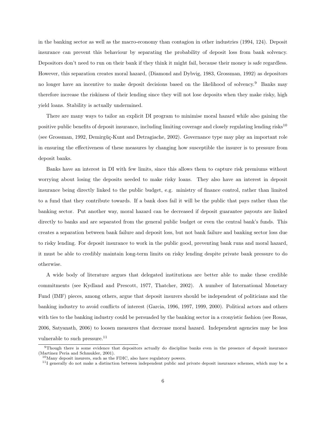in the banking sector as well as the macro-economy than contagion in other industries (1994, 124). Deposit insurance can prevent this behaviour by separating the probability of deposit loss from bank solvency. Depositors don't need to run on their bank if they think it might fail, because their money is safe regardless. However, this separation creates moral hazard, (Diamond and Dybvig, 1983, Grossman, 1992) as depositors no longer have an incentive to make deposit decisions based on the likelihood of solvency.<sup>9</sup> Banks may therefore increase the riskiness of their lending since they will not lose deposits when they make risky, high yield loans. Stability is actually undermined.

There are many ways to tailor an explicit DI program to minimise moral hazard while also gaining the positive public benefits of deposit insurance, including limiting coverage and closely regulating lending risks<sup>10</sup> (see Grossman, 1992, Demirgüç-Kunt and Detragiache, 2002). Governance type may play an important role in ensuring the effectiveness of these measures by changing how susceptible the insurer is to pressure from deposit banks.

Banks have an interest in DI with few limits, since this allows them to capture risk premiums without worrying about losing the deposits needed to make risky loans. They also have an interest in deposit insurance being directly linked to the public budget, e.g. ministry of finance control, rather than limited to a fund that they contribute towards. If a bank does fail it will be the public that pays rather than the banking sector. Put another way, moral hazard can be decreased if deposit guarantee payouts are linked directly to banks and are separated from the general public budget or even the central bank's funds. This creates a separation between bank failure and deposit loss, but not bank failure and banking sector loss due to risky lending. For deposit insurance to work in the public good, preventing bank runs and moral hazard, it must be able to credibly maintain long-term limits on risky lending despite private bank pressure to do otherwise.

A wide body of literature argues that delegated institutions are better able to make these credible commitments (see Kydland and Prescott, 1977, Thatcher, 2002). A number of International Monetary Fund (IMF) pieces, among others, argue that deposit insurers should be independent of politicians and the banking industry to avoid conflicts of interest (Garcia, 1996, 1997, 1999, 2000). Political actors and others with ties to the banking industry could be persuaded by the banking sector in a cronyistic fashion (see Rosas, 2006, Satyanath, 2006) to loosen measures that decrease moral hazard. Independent agencies may be less vulnerable to such pressure.<sup>11</sup>

<sup>9</sup>Though there is some evidence that depositors actually do discipline banks even in the presence of deposit insurance (Martinez Peria and Schmukler, 2001).

 $10$ Many deposit insurers, such as the FDIC, also have regulatory powers.

 $11I$  generally do not make a distinction between independent public and private deposit insurance schemes, which may be a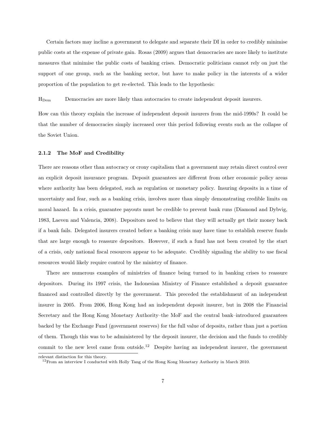Certain factors may incline a government to delegate and separate their DI in order to credibly minimise public costs at the expense of private gain. Rosas (2009) argues that democracies are more likely to institute measures that minimise the public costs of banking crises. Democratic politicians cannot rely on just the support of one group, such as the banking sector, but have to make policy in the interests of a wider proportion of the population to get re-elected. This leads to the hypothesis:

HDem Democracies are more likely than autocracies to create independent deposit insurers.

How can this theory explain the increase of independent deposit insurers from the mid-1990s? It could be that the number of democracies simply increased over this period following events such as the collapse of the Soviet Union.

#### 2.1.2 The MoF and Credibility

There are reasons other than autocracy or crony capitalism that a government may retain direct control over an explicit deposit insurance program. Deposit guarantees are different from other economic policy areas where authority has been delegated, such as regulation or monetary policy. Insuring deposits in a time of uncertainty and fear, such as a banking crisis, involves more than simply demonstrating credible limits on moral hazard. In a crisis, guarantee payouts must be credible to prevent bank runs (Diamond and Dybvig, 1983, Laeven and Valencia, 2008). Depositors need to believe that they will actually get their money back if a bank fails. Delegated insurers created before a banking crisis may have time to establish reserve funds that are large enough to reassure depositors. However, if such a fund has not been created by the start of a crisis, only national fiscal resources appear to be adequate. Credibly signaling the ability to use fiscal resources would likely require control by the ministry of finance.

There are numerous examples of ministries of finance being turned to in banking crises to reassure depositors. During its 1997 crisis, the Indonesian Ministry of Finance established a deposit guarantee financed and controlled directly by the government. This preceded the establishment of an independent insurer in 2005. From 2006, Hong Kong had an independent deposit insurer, but in 2008 the Financial Secretary and the Hong Kong Monetary Authority–the MoF and the central bank–introduced guarantees backed by the Exchange Fund (government reserves) for the full value of deposits, rather than just a portion of them. Though this was to be administered by the deposit insurer, the decision and the funds to credibly commit to the new level came from outside.<sup>12</sup> Despite having an independent insurer, the government

relevant distinction for this theory.

<sup>&</sup>lt;sup>12</sup>From an interview I conducted with Holly Tang of the Hong Kong Monetary Authority in March 2010.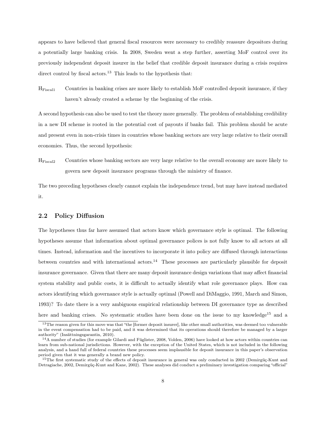appears to have believed that general fiscal resources were necessary to credibly reassure depositors during a potentially large banking crisis. In 2008, Sweden went a step further, asserting MoF control over its previously independent deposit insurer in the belief that credible deposit insurance during a crisis requires direct control by fiscal actors.<sup>13</sup> This leads to the hypothesis that:

HFiscal1 Countries in banking crises are more likely to establish MoF controlled deposit insurance, if they haven't already created a scheme by the beginning of the crisis.

A second hypothesis can also be used to test the theory more generally. The problem of establishing credibility in a new DI scheme is rooted in the potential cost of payouts if banks fail. This problem should be acute and present even in non-crisis times in countries whose banking sectors are very large relative to their overall economies. Thus, the second hypothesis:

HFiscal2 Countries whose banking sectors are very large relative to the overall economy are more likely to govern new deposit insurance programs through the ministry of finance.

The two preceding hypotheses clearly cannot explain the independence trend, but may have instead mediated it.

#### 2.2 Policy Diffusion

The hypotheses thus far have assumed that actors know which governance style is optimal. The following hypotheses assume that information about optimal governance polices is not fully know to all actors at all times. Instead, information and the incentives to incorporate it into policy are diffused through interactions between countries and with international actors.<sup>14</sup> These processes are particularly plausible for deposit insurance governance. Given that there are many deposit insurance design variations that may affect financial system stability and public costs, it is difficult to actually identify what role governance plays. How can actors identifying which governance style is actually optimal (Powell and DiMaggio, 1991, March and Simon, 1993)? To date there is a very ambiguous empirical relationship between DI governance type as described here and banking crises. No systematic studies have been done on the issue to my knowledge<sup>15</sup> and a

<sup>&</sup>lt;sup>13</sup>The reason given for this move was that "the [former deposit insurer], like other small authorities, was deemed too vulnerable in the event compensation had to be paid, and it was determined that its operations should therefore be managed by a larger authority" (Insättningsgarantin, 2010).

 $14A$  number of studies (for example Gilardi and Füglister, 2008, Volden, 2006) have looked at how actors within countries can learn from sub-national jurisdictions. However, with the exception of the United States, which is not included in the following analysis, and a hand full of federal countries these processes seem implausible for deposit insurance in this paper's observation period given that it was generally a brand new policy.

<sup>&</sup>lt;sup>15</sup>The first systematic study of the effects of deposit insurance in general was only conducted in 2002 (Demirgüç-Kunt and Detragiache, 2002, Demirgüç-Kunt and Kane, 2002). These analyses did conduct a preliminary investigation comparing "official"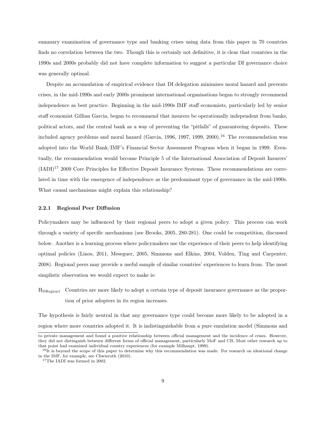summary examination of governance type and banking crises using data from this paper in 70 countries finds no correlation between the two. Though this is certainly not definitive, it is clear that countries in the 1990s and 2000s probably did not have complete information to suggest a particular DI governance choice was generally optimal.

Despite an accumulation of empirical evidence that DI delegation minimises moral hazard and prevents crises, in the mid-1990s and early 2000s prominent international organisations began to strongly recommend independence as best practice. Beginning in the mid-1990s IMF staff economists, particularly led by senior staff economist Gillian Garcia, began to recommend that insurers be operationally independent from banks, political actors, and the central bank as a way of preventing the "pitfalls" of guaranteeing deposits. These included agency problems and moral hazard (Garcia, 1996, 1997, 1999, 2000).<sup>16</sup> The recommendation was adopted into the World Bank/IMF's Financial Sector Assessment Program when it began in 1999. Eventually, the recommendation would become Principle 5 of the International Association of Deposit Insurers' (IADI)<sup>17</sup> 2009 Core Principles for Effective Deposit Insurance Systems. These recommendations are correlated in time with the emergence of independence as the predominant type of governance in the mid-1990s. What causal mechanisms might explain this relationship?

#### 2.2.1 Regional Peer Diffusion

Policymakers may be influenced by their regional peers to adopt a given policy. This process can work through a variety of specific mechanisms (see Brooks, 2005, 280-281). One could be competition, discussed below. Another is a learning process where policymakers use the experience of their peers to help identifying optimal policies (Linos, 2011, Meseguer, 2005, Simmons and Elkins, 2004, Volden, Ting and Carpenter, 2008). Regional peers may provide a useful sample of similar countries' experiences to learn from. The most simplistic observation we would expect to make is:

HDRegion1 Countries are more likely to adopt a certain type of deposit insurance governance as the proportion of prior adopters in its region increases.

The hypothesis is fairly neutral in that any governance type could become more likely to be adopted in a region where more countries adopted it. It is indistinguishable from a pure emulation model (Simmons and

to private management and found a positive relationship between official management and the incidence of crises. However, they did not distinguish between different forms of official management, particularly MoF and CB. Most other research up to that point had examined individual country experiences (for example Milhaupt, 1999).

 $^{16}$ It is beyond the scope of this paper to determine why this recommendation was made. For research on ideational change in the IMF, for example, see Chwieroth (2010).

<sup>17</sup>The IADI was formed in 2002.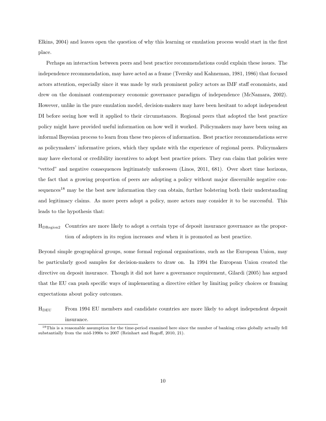Elkins, 2004) and leaves open the question of why this learning or emulation process would start in the first place.

Perhaps an interaction between peers and best practice recommendations could explain these issues. The independence recommendation, may have acted as a frame (Tversky and Kahneman, 1981, 1986) that focused actors attention, especially since it was made by such prominent policy actors as IMF staff economists, and drew on the dominant contemporary economic governance paradigm of independence (McNamara, 2002). However, unlike in the pure emulation model, decision-makers may have been hesitant to adopt independent DI before seeing how well it applied to their circumstances. Regional peers that adopted the best practice policy might have provided useful information on how well it worked. Policymakers may have been using an informal Bayesian process to learn from these two pieces of information. Best practice recommendations serve as policymakers' informative priors, which they update with the experience of regional peers. Policymakers may have electoral or credibility incentives to adopt best practice priors. They can claim that policies were "vetted" and negative consequences legitimately unforeseen (Linos, 2011, 681). Over short time horizons, the fact that a growing proportion of peers are adopting a policy without major discernible negative consequences<sup>18</sup> may be the best new information they can obtain, further bolstering both their understanding and legitimacy claims. As more peers adopt a policy, more actors may consider it to be successful. This leads to the hypothesis that:

HDRegion2 Countries are more likely to adopt a certain type of deposit insurance governance as the proportion of adopters in its region increases *and* when it is promoted as best practice.

Beyond simple geographical groups, some formal regional organisations, such as the European Union, may be particularly good samples for decision-makers to draw on. In 1994 the European Union created the directive on deposit insurance. Though it did not have a governance requirement, Gilardi (2005) has argued that the EU can push specific ways of implementing a directive either by limiting policy choices or framing expectations about policy outcomes.

HDEU From 1994 EU members and candidate countries are more likely to adopt independent deposit insurance.

<sup>&</sup>lt;sup>18</sup>This is a reasonable assumption for the time-period examined here since the number of banking crises globally actually fell substantially from the mid-1990s to 2007 (Reinhart and Rogoff, 2010, 21).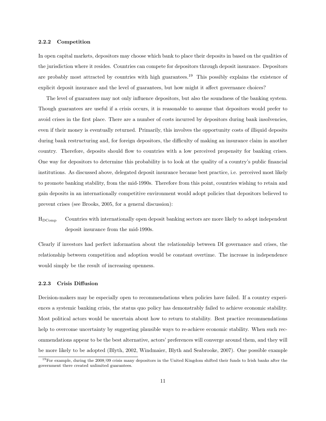#### 2.2.2 Competition

In open capital markets, depositors may choose which bank to place their deposits in based on the qualities of the jurisdiction where it resides. Countries can compete for depositors through deposit insurance. Depositors are probably most attracted by countries with high guarantees.<sup>19</sup> This possibly explains the existence of explicit deposit insurance and the level of guarantees, but how might it affect governance choices?

The level of guarantees may not only influence depositors, but also the soundness of the banking system. Though guarantees are useful if a crisis occurs, it is reasonable to assume that depositors would prefer to avoid crises in the first place. There are a number of costs incurred by depositors during bank insolvencies, even if their money is eventually returned. Primarily, this involves the opportunity costs of illiquid deposits during bank restructuring and, for foreign depositors, the difficulty of making an insurance claim in another country. Therefore, deposits should flow to countries with a low perceived propensity for banking crises. One way for depositors to determine this probability is to look at the quality of a country's public financial institutions. As discussed above, delegated deposit insurance became best practice, i.e. perceived most likely to promote banking stability, from the mid-1990s. Therefore from this point, countries wishing to retain and gain deposits in an internationally competitive environment would adopt policies that depositors believed to prevent crises (see Brooks, 2005, for a general discussion):

HDComp Countries with internationally open deposit banking sectors are more likely to adopt independent deposit insurance from the mid-1990s.

Clearly if investors had perfect information about the relationship between DI governance and crises, the relationship between competition and adoption would be constant overtime. The increase in independence would simply be the result of increasing openness.

#### 2.2.3 Crisis Diffusion

Decision-makers may be especially open to recommendations when policies have failed. If a country experiences a systemic banking crisis, the status quo policy has demonstrably failed to achieve economic stability. Most political actors would be uncertain about how to return to stability. Best practice recommendations help to overcome uncertainty by suggesting plausible ways to re-achieve economic stability. When such recommendations appear to be the best alternative, actors' preferences will converge around them, and they will be more likely to be adopted (Blyth, 2002, Windmaier, Blyth and Seabrooke, 2007). One possible example

 $19$ For example, during the  $2008/09$  crisis many depositors in the United Kingdom shifted their funds to Irish banks after the government there created unlimited guarantees.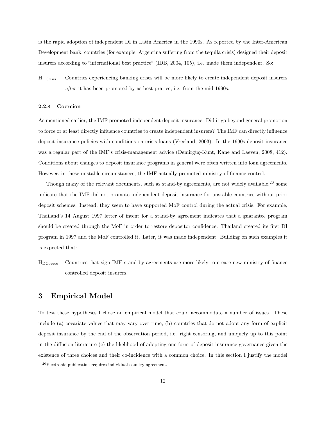is the rapid adoption of independent DI in Latin America in the 1990s. As reported by the Inter-American Development bank, countries (for example, Argentina suffering from the tequila crisis) designed their deposit insurers according to "international best practice" (IDB, 2004, 105), i.e. made them independent. So:

HDCrisis Countries experiencing banking crises will be more likely to create independent deposit insurers *after* it has been promoted by as best pratice, i.e. from the mid-1990s.

#### 2.2.4 Coercion

As mentioned earlier, the IMF promoted independent deposit insurance. Did it go beyond general promotion to force or at least directly influence countries to create independent insurers? The IMF can directly influence deposit insurance policies with conditions on crisis loans (Vreeland, 2003). In the 1990s deposit insurance was a regular part of the IMF's crisis-management advice (Demirgüç-Kunt, Kane and Laeven, 2008, 412). Conditions about changes to deposit insurance programs in general were often written into loan agreements. However, in these unstable circumstances, the IMF actually promoted ministry of finance control.

Though many of the relevant documents, such as stand-by agreements, are not widely available,<sup>20</sup> some indicate that the IMF did not promote independent deposit insurance for unstable countries without prior deposit schemes. Instead, they seem to have supported MoF control during the actual crisis. For example, Thailand's 14 August 1997 letter of intent for a stand-by agreement indicates that a guarantee program should be created through the MoF in order to restore depositor confidence. Thailand created its first DI program in 1997 and the MoF controlled it. Later, it was made independent. Building on such examples it is expected that:

HDCoerce Countries that sign IMF stand-by agreements are more likely to create new ministry of finance controlled deposit insurers.

## 3 Empirical Model

To test these hypotheses I chose an empirical model that could accommodate a number of issues. These include (a) covariate values that may vary over time, (b) countries that do not adopt any form of explicit deposit insurance by the end of the observation period, i.e. right censoring, and uniquely up to this point in the diffusion literature (c) the likelihood of adopting one form of deposit insurance governance given the existence of three choices and their co-incidence with a common choice. In this section I justify the model

<sup>20</sup>Electronic publication requires individual country agreement.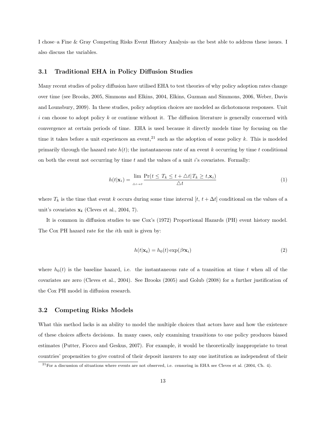I chose–a Fine & Gray Competing Risks Event History Analysis–as the best able to address these issues. I also discuss the variables.

#### 3.1 Traditional EHA in Policy Diffusion Studies

Many recent studies of policy diffusion have utilised EHA to test theories of why policy adoption rates change over time (see Brooks, 2005, Simmons and Elkins, 2004, Elkins, Guzman and Simmons, 2006, Weber, Davis and Lounsbury, 2009). In these studies, policy adoption choices are modeled as dichotomous responses. Unit  $i$  can choose to adopt policy k or continue without it. The diffusion literature is generally concerned with convergence at certain periods of time. EHA is used because it directly models time by focusing on the time it takes before a unit experiences an event,<sup>21</sup> such as the adoption of some policy k. This is modeled primarily through the hazard rate  $h(t)$ ; the instantaneous rate of an event k occurring by time t conditional on both the event not occurring by time  $t$  and the values of a unit  $i$ 's covariates. Formally:

$$
h(t|\mathbf{x}_i) = \lim_{\Delta t \to 0} \frac{\Pr(t \le T_k \le t + \Delta t | T_k \ge t, \mathbf{x}_i)}{\Delta t}
$$
(1)

where  $T_k$  is the time that event k occurs during some time interval  $[t, t + \Delta t]$  conditional on the values of a unit's covariates  $x_i$  (Cleves et al., 2004, 7).

It is common in diffusion studies to use Cox's (1972) Proportional Hazards (PH) event history model. The Cox PH hazard rate for the ith unit is given by:

$$
h(t|\mathbf{x_i}) = h_0(t) \exp(\beta t \mathbf{x_i})
$$
\n(2)

where  $h_0(t)$  is the baseline hazard, i.e. the instantaneous rate of a transition at time t when all of the covariates are zero (Cleves et al., 2004). See Brooks (2005) and Golub (2008) for a further justification of the Cox PH model in diffusion research.

#### 3.2 Competing Risks Models

What this method lacks is an ability to model the multiple choices that actors have and how the existence of these choices affects decisions. In many cases, only examining transitions to one policy produces biased estimates (Putter, Fiocco and Geskus, 2007). For example, it would be theoretically inappropriate to treat countries' propensities to give control of their deposit insurers to any one institution as independent of their

 $21$  For a discussion of situations where events are not observed, i.e. censoring in EHA see Cleves et al. (2004, Ch. 4).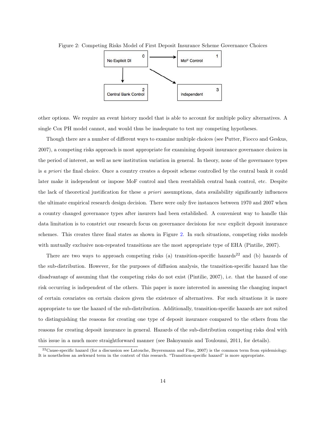

Figure 2: Competing Risks Model of First Deposit Insurance Scheme Governance Choices

other options. We require an event history model that is able to account for multiple policy alternatives. A single Cox PH model cannot, and would thus be inadequate to test my competing hypotheses.

Though there are a number of different ways to examine multiple choices (see Putter, Fiocco and Geskus, 2007), a competing risks approach is most appropriate for examining deposit insurance governance choices in the period of interest, as well as new institution variation in general. In theory, none of the governance types is *a priori* the final choice. Once a country creates a deposit scheme controlled by the central bank it could later make it independent or impose MoF control and then reestablish central bank control, etc. Despite the lack of theoretical justification for these *a priori* assumptions, data availability significantly influences the ultimate empirical research design decision. There were only five instances between 1970 and 2007 when a country changed governance types after insurers had been established. A convenient way to handle this data limitation is to constrict our research focus on governance decisions for *new* explicit deposit insurance schemes*.* This creates three final states as shown in Figure 2. In such situations, competing risks models with mutually exclusive non-repeated transitions are the most appropriate type of EHA (Pintilie, 2007).

There are two ways to approach competing risks (a) transition-specific hazards<sup>22</sup> and (b) hazards of the sub-distribution. However, for the purposes of diffusion analysis, the transition-specific hazard has the disadvantage of assuming that the competing risks do not exist (Pintilie, 2007), i.e. that the hazard of one risk occurring is independent of the others. This paper is more interested in assessing the changing impact of certain covariates on certain choices given the existence of alternatives. For such situations it is more appropriate to use the hazard of the sub-distribution. Additionally, transition-specific hazards are not suited to distinguishing the reasons for creating one type of deposit insurance compared to the others from the reasons for creating deposit insurance in general. Hazards of the sub-distribution competing risks deal with this issue in a much more straightforward manner (see Bakoyannis and Touloumi, 2011, for details).

 $^{22}$ Cause-specific hazard (for a discussion see Latouche, Beyersmann and Fine, 2007) is the common term from epidemiology. It is nonetheless an awkward term in the context of this research. "Transition-specific hazard" is more appropriate.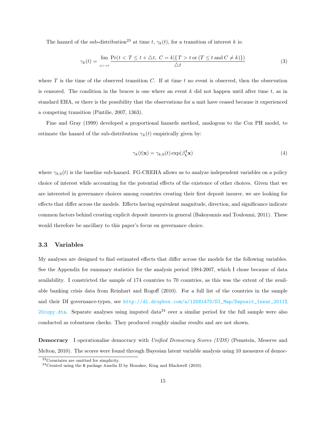The hazard of the sub-distribution<sup>23</sup> at time t,  $\gamma_k(t)$ , for a transition of interest k is:

$$
\gamma_k(t) = \lim_{\Delta t \to 0} \frac{\Pr(t < T \le t + \Delta t, \ C = k | \{ T > t \text{ or } (T \le t \text{ and } C \ne k) \})}{\Delta t} \tag{3}
$$

where  $T$  is the time of the observed transition  $C$ . If at time  $t$  no event is observed, then the observation is censored. The condition in the braces is one where an event k did not happen until after time t, as in standard EHA, or there is the possibility that the observations for a unit have ceased because it experienced a competing transition (Pintilie, 2007, 1363).

Fine and Gray (1999) developed a proportional hazards method, analogous to the Cox PH model, to estimate the hazard of the sub-distribution  $\gamma_k(t)$  empirically given by:

$$
\gamma_k(t|\mathbf{x}) = \gamma_{k,0}(t) \exp(\beta_k^{\mathsf{T}} \mathbf{x})
$$
\n(4)

where  $\gamma_{k,0}(t)$  is the baseline sub-hazard. FG-CREHA allows us to analyze independent variables on a policy choice of interest while accounting for the potential effects of the existence of other choices. Given that we are interested in governance choices among countries creating their first deposit insurer, we are looking for effects that differ across the models*.* Effects having equivalent magnitude, direction, and significance indicate common factors behind creating explicit deposit insurers in general (Bakoyannis and Touloumi, 2011). These would therefore be ancillary to this paper's focus on governance choice.

#### 3.3 Variables

My analyses are designed to find estimated effects that differ across the models for the following variables. See the Appendix for summary statistics for the analysis period 1984-2007, which I chose because of data availability. I constricted the sample of 174 countries to 70 countries, as this was the extent of the available banking crisis data from Reinhart and Rogoff (2010). For a full list of the countries in the sample and their DI governance-types, see http://dl.dropbox.com/u/12581470/DI\_Map/Deposit\_Insur\_2011% 20copy.dta. Separate analyses using imputed data<sup>24</sup> over a similar period for the full sample were also conducted as robustness checks. They produced roughly similar results and are not shown.

Democracy I operationalise democracy with *Unified Democracy Scores (UDS)* (Pemstein, Meserve and Melton, 2010). The scores were found through Bayesian latent variable analysis using 10 measures of democ-

<sup>23</sup>Covariates are omitted for simplicity.

<sup>24</sup>Created using the R package Amelia II by Honaker, King and Blackwell (2010).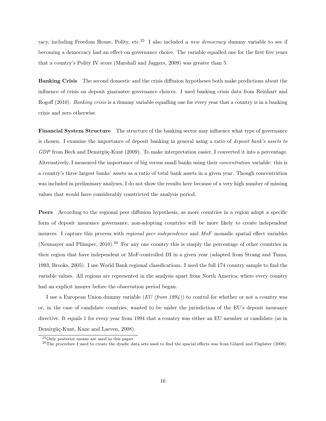racy, including Freedom House, Polity, etc.<sup>25</sup> I also included a *new democracy* dummy variable to see if becoming a democracy had an effect on governance choice. The variable equalled one for the first five years that a country's Polity IV score (Marshall and Jaggers, 2009) was greater than 5.

Banking Crisis The second domestic and the crisis diffusion hypotheses both make predictions about the influence of crisis on deposit guarantee governance choices. I used banking crisis data from Reinhart and Rogoff (2010). *Banking crisis* is a dummy variable equalling one for every year that a country is in a banking crisis and zero otherwise.

Financial System Structure The structure of the banking sector may influence what type of governance is chosen. I examine the importance of deposit banking in general using a ratio of *deposit bank's assets to GDP* from Beck and Demirgüç-Kunt (2009). To make interpretation easier, I converted it into a percentage. Alternatively, I measured the importance of big versus small banks using their *concentration* variable: this is a country's three largest banks' assets as a ratio of total bank assets in a given year. Though concentration was included in preliminary analyses, I do not show the results here because of a very high number of missing values that would have considerably constricted the analysis period.

Peers According to the regional peer diffusion hypothesis, as more countries in a region adopt a specific form of deposit insurance governance, non-adopting countries will be more likely to create independent insurers. I capture this process with *regional peer independence* and *MoF* monadic spatial effect variables (Neumayer and Plümper, 2010).<sup>26</sup> For any one country this is simply the percentage of other countries in their region that have independent or MoF-controlled DI in a given year (adapted from Strang and Tuma, 1993, Brooks, 2005). I use World Bank regional classifications. I used the full 174 country sample to find the variable values. All regions are represented in the analysis apart from North America, where every country had an explicit insurer before the observation period began.

I use a European Union dummy variable (*EU (from 1994* )) to control for whether or not a country was or, in the case of candidate countries, wanted to be under the jurisdiction of the EU's deposit insurance directive. It equals 1 for every year from 1994 that a country was either an EU member or candidate (as in Demirgüç-Kunt, Kane and Laeven, 2008).

<sup>25</sup>Only posterior means are used in this paper.

<sup>&</sup>lt;sup>26</sup>The procedure I used to create the dyadic data sets used to find the spacial effects was from Gilardi and Füglister (2008).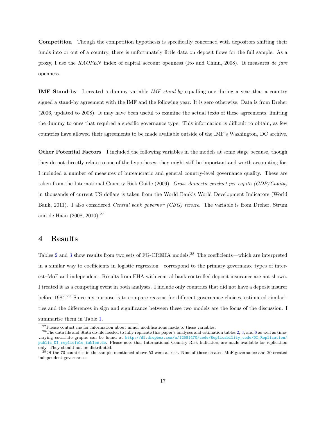Competition Though the competition hypothesis is specifically concerned with depositors shifting their funds into or out of a country, there is unfortunately little data on deposit flows for the full sample. As a proxy, I use the *KAOPEN* index of capital account openness (Ito and Chinn, 2008). It measures *de jure* openness.

IMF Stand-by I created a dummy variable *IMF stand-by* equalling one during a year that a country signed a stand-by agreement with the IMF and the following year. It is zero otherwise. Data is from Dreher (2006, updated to 2008). It may have been useful to examine the actual texts of these agreements, limiting the dummy to ones that required a specific governance type. This information is difficult to obtain, as few countries have allowed their agreements to be made available outside of the IMF's Washington, DC archive.

Other Potential Factors I included the following variables in the models at some stage because, though they do not directly relate to one of the hypotheses, they might still be important and worth accounting for. I included a number of measures of bureaucratic and general country-level governance quality. These are taken from the International Country Risk Guide (2009). *Gross domestic product per capita (GDP/Capita)* in thousands of current US dollars is taken from the World Bank's World Development Indicators (World Bank, 2011). I also considered *Central bank governor (CBG) tenure*. The variable is from Dreher, Strum and de Haan (2008, 2010).<sup>27</sup>

## 4 Results

Tables 2 and 3 show results from two sets of FG-CREHA models.<sup>28</sup> The coefficients—which are interpreted in a similar way to coefficients in logistic regression—correspond to the primary governance types of interest–MoF and independent. Results from EHA with central bank controlled deposit insurance are not shown. I treated it as a competing event in both analyses. I include only countries that did not have a deposit insurer before 1984.<sup>29</sup> Since my purpose is to compare reasons for different governance choices, estimated similarities and the differences in sign and significance between these two models are the focus of the discussion. I summarise them in Table 1.

 $^{27}\rm{Please}$  contact me for information about minor modifications made to these variables.

 $^{28}$ The data file and Stata do-file needed to fully replicate this paper's analyses and estimation tables 2, 3, and 6 as well as timevarying covariate graphs can be found at http://dl.dropbox.com/u/12581470/code/Replicability\_code/DI\_Replication/ public\_DI\_replicible\_tables.do. Please note that International Country Risk Indicators are made available for replication only. They should not be distributed.

 $^{29}$ Of the 70 countries in the sample mentioned above 53 were at risk. Nine of these created MoF governance and 20 created independent governance.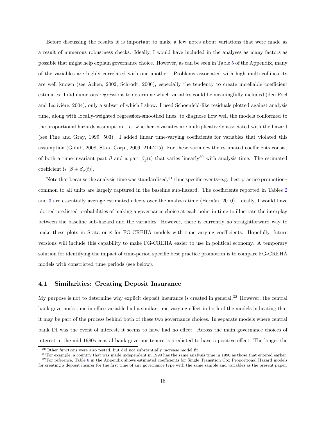Before discussing the results it is important to make a few notes about variations that were made as a result of numerous robustness checks. Ideally, I would have included in the analyses as many factors as possible that might help explain governance choice. However, as can be seen in Table 5 of the Appendix, many of the variables are highly correlated with one another. Problems associated with high multi-collinearity are well known (see Achen, 2002, Schrodt, 2006), especially the tendency to create unreliable coefficient estimates. I did numerous regressions to determine which variables could be meaningfully included (den Poel and Larivière, 2004), only a subset of which I show. I used Schoenfeld-like residuals plotted against analysis time, along with locally-weighted regression-smoothed lines, to diagnose how well the models conformed to the proportional hazards assumption, i.e. whether covariates are multiplicatively associated with the hazard (see Fine and Gray, 1999, 503). I added linear time-varying coefficients for variables that violated this assumption (Golub, 2008, Stata Corp., 2009, 214-215). For these variables the estimated coefficients consist of both a time-invariant part  $\beta$  and a part  $\beta_q(t)$  that varies linearly<sup>30</sup> with analysis time. The estimated coefficient is  $[\beta + \beta_g(t)].$ 

Note that because the analysis time was standardised, $31$  time specific events–e.g. best practice promotion– common to all units are largely captured in the baseline sub-hazard. The coefficients reported in Tables 2 and 3 are essentially average estimated effects over the analysis time (Hernán, 2010). Ideally, I would have plotted predicted probabilities of making a governance choice at each point in time to illustrate the interplay between the baseline sub-hazard and the variables. However, there is currently no straightforward way to make these plots in Stata or R for FG-CREHA models with time-varying coefficients. Hopefully, future versions will include this capability to make FG-CREHA easier to use in political economy. A temporary solution for identifying the impact of time-period specific best practice promotion is to compare FG-CREHA models with constricted time periods (see below).

#### 4.1 Similarities: Creating Deposit Insurance

My purpose is not to determine why explicit deposit insurance is created in general.<sup>32</sup> However, the central bank governor's time in office variable had a similar time-varying effect in both of the models indicating that it may be part of the process behind both of these two governance choices. In separate models where central bank DI was the event of interest, it seems to have had no effect. Across the main governance choices of interest in the mid-1980s central bank governor tenure is predicted to have a positive effect. The longer the

<sup>30</sup>Other functions were also tested, but did not substantially increase model fit.

 $31$  For example, a country that was made independent in 1990 has the same analysis time in 1990 as those that entered earlier.  $32$ For reference, Table 6 in the Appendix shows estimated coefficients for Single Transition Cox Proportional Hazard models

for creating a deposit insurer for the first time of any governance type with the same sample and variables as the present paper.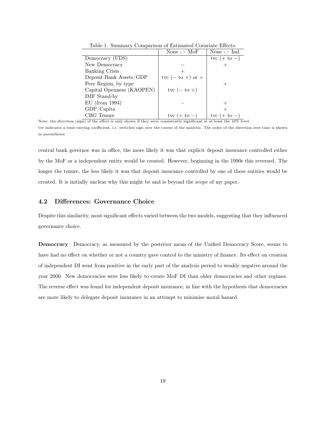|                           | None $\sim$ MoF               | None $\mathsf{I} > \mathsf{Ind}$ . |
|---------------------------|-------------------------------|------------------------------------|
| Democracy (UDS)           |                               | tvc $(+ to -)$                     |
| New Democracy             |                               |                                    |
| <b>Banking Crisis</b>     |                               |                                    |
| Deposit Bank Assets/GDP   | tvc $(-\mathrm{to} +)$ or $+$ |                                    |
| Peer Region, by type      |                               |                                    |
| Capital Openness (KAOPEN) | tvc $(-\mathrm{to} +)$        |                                    |
| IMF Stand-by              |                               |                                    |
| $EU$ (from 1994)          |                               |                                    |
| GDP/Capita                |                               |                                    |
| CBG Tenure                | tvc $(+ to -)$                | tvc (                              |

Table 1: Summary Comparison of Estimated Covariate Effects.

Note: the direction (sign) of the effect is only shown if they were consistently significant at at least the  $10\%$  level. tvc indicates a time-varying coefficient, i.e. switches sign over the course of the analysis. The order of the direction over time is shown

in parentheses.

central bank governor was in office, the more likely it was that explicit deposit insurance controlled either by the MoF or a independent entity would be created. However, beginning in the 1990s this reversed. The longer the tenure, the less likely it was that deposit insurance controlled by one of these entities would be created. It is initially unclear why this might be and is beyond the scope of my paper.

### 4.2 Differences: Governance Choice

Despite this similarity, most significant effects varied between the two models, suggesting that they influenced governance choice.

Democracy Democracy, as measured by the posterior mean of the Unified Democracy Score, seems to have had no effect on whether or not a country gave control to the ministry of finance. Its effect on creation of independent DI went from positive in the early part of the analysis period to weakly negative around the year 2000. New democracies were less likely to create MoF DI than older democracies and other regimes. The reverse effect was found for independent deposit insurance, in line with the hypothesis that democracies are more likely to delegate deposit insurance in an attempt to minimise moral hazard.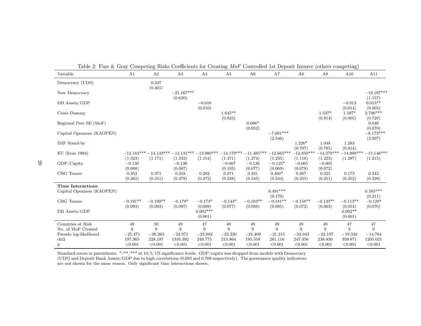| Variable                                              | A1                                  | A2                      | A3                                  | A4                      | A5                                  | A6                                  | A7                                   | A8                                  | A9                                  | כ-<br>A10               | A11                             |
|-------------------------------------------------------|-------------------------------------|-------------------------|-------------------------------------|-------------------------|-------------------------------------|-------------------------------------|--------------------------------------|-------------------------------------|-------------------------------------|-------------------------|---------------------------------|
| Democracy (UDS)                                       |                                     | 0.227<br>(0.401)        |                                     |                         |                                     |                                     |                                      |                                     |                                     |                         |                                 |
| New Democracy                                         |                                     |                         | $-21.167***$<br>(0.620)             |                         |                                     |                                     |                                      |                                     |                                     |                         | $-19.197***$<br>(1.157)         |
| DB Assets/GDP                                         |                                     |                         |                                     | $-0.016$<br>(0.010)     |                                     |                                     |                                      |                                     |                                     | $-0.013$<br>(0.014)     | $0.013**$<br>(0.005)            |
| Crisis Dummy                                          |                                     |                         |                                     |                         | $1.645**$<br>(0.823)                |                                     |                                      |                                     | $1.537*$<br>(0.814)                 | 1.597*<br>(0.905)       | $2.706***$<br>(0.720)           |
| Regional Peer SE (MoF)                                |                                     |                         |                                     |                         |                                     | $0.096*$<br>(0.052)                 |                                      |                                     |                                     |                         | 0.046<br>(0.070)                |
| Capital Openness (KAOPEN)                             |                                     |                         |                                     |                         |                                     |                                     | $-7.091***$<br>(2.546)               |                                     |                                     |                         | $-8.173***$<br>(2.997)          |
| IMF Stand-by                                          |                                     |                         |                                     |                         |                                     |                                     |                                      | $1.226*$<br>(0.707)                 | 1.048<br>(0.785)                    | 1.283<br>(0.914)        |                                 |
| $EU$ (from 1994)<br>GDP/Capita                        | $-12.184***$<br>(1.323)<br>$-0.130$ | $-14.133***$<br>(1.171) | $-12.131***$<br>(1.332)<br>$-0.136$ | $-13.980***$<br>(1.154) | $-14.179***$<br>(1.471)<br>$-0.067$ | $-11.485***$<br>(1.274)<br>$-0.126$ | $-12.665***$<br>(1.235)<br>$-0.125*$ | $-12.850***$<br>(1.118)<br>$-0.065$ | $-14.279***$<br>(1.223)<br>$-0.005$ | $-14.998***$<br>(1.287) | $-15.146***$<br>(1.215)         |
| CBG Tenure                                            | (0.088)<br>0.353                    | 0.371                   | (0.087)<br>0.318                    | 0.282                   | (0.103)<br>0.271                    | (0.077)<br>0.331                    | (0.069)<br>$0.460*$                  | (0.078)<br>0.267                    | (0.072)<br>0.225                    | 0.173                   | 0.342                           |
|                                                       | (0.262)                             | (0.251)                 | (0.278)                             | (0.272)                 | (0.228)                             | (0.245)                             | (0.244)                              | (0.255)                             | (0.251)                             | (0.252)                 | (0.229)                         |
| <b>Time Interactions</b><br>Capital Openness (KAOPEN) |                                     |                         |                                     |                         |                                     |                                     | $0.491***$                           |                                     |                                     |                         | $0.583***$                      |
| CBG Tenure                                            | $-0.191**$<br>(0.093)               | $-0.199**$<br>(0.093)   | $-0.179*$<br>(0.097)                | $-0.174*$<br>(0.089)    | $-0.144*$<br>(0.077)                | $-0.183**$<br>(0.088)               | (0.170)<br>$-0.181**$<br>(0.085)     | $-0.158**$<br>(0.072)               | $-0.133**$<br>(0.063)               | $-0.113**$<br>(0.054)   | (0.211)<br>$-0.128*$<br>(0.070) |
| DB Assets/GDP                                         |                                     |                         |                                     | $0.002***$<br>(0.001)   |                                     |                                     |                                      |                                     |                                     | $0.002**$<br>(0.001)    |                                 |
| Countries at Risk                                     | 49                                  | 50                      | 49                                  | 47                      | 49                                  | 49                                  | 49                                   | 49                                  | 49                                  | 47                      | 47                              |
| No. of MoF Created                                    | 9                                   | 9                       | 9                                   | 9                       | 9                                   | 9                                   | 9                                    | 9                                   | 9                                   | 9                       | 9                               |
| Pseudo log-likelihood                                 | $-25.471$                           | $-26.263$               | $-24.871$                           | $-23.882$               | $-23.226$                           | $-24.409$                           | $-21.215$                            | $-24.043$                           | $-22.197$                           | $-19.342$               | $-14.764$                       |
| chi2                                                  | 197.365                             | 228.187                 | 1316.392                            | 249.775                 | 215.864                             | 195.558                             | 281.116                              | 247.356                             | 238.830                             | 359.971                 | 1205.021                        |
| $\mathbf{p}$                                          | < 0.001                             | < 0.001                 | < 0.001                             | < 0.001                 | < 0.001                             | < 0.001                             | < 0.001                              | < 0.001                             | < 0.001                             | < 0.001                 | < 0.001                         |

Table 2: Fine & Gray Competing Risks Coefficients for Creating *MoF* Controlled 1st Deposit Insurer (others competing)

Standard errors in parentheses. \*/\*\*/\*\*\* at 10/5/1% significance levels. GDP/capita was dropped from models with Democracy

 (UDS) and Deposit Bank Assets/GDP due to high correlations (0.693 and 0.708 respectively). The governance quality indicatorsare not shown for the same reason. Only significant time interactions shown.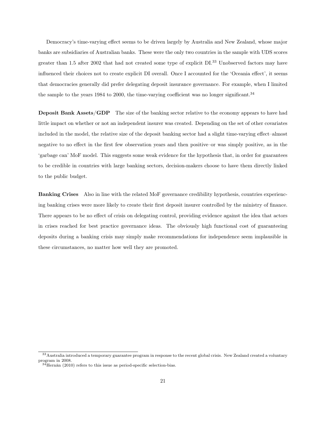Democracy's time-varying effect seems to be driven largely by Australia and New Zealand, whose major banks are subsidiaries of Australian banks. These were the only two countries in the sample with UDS scores greater than 1.5 after 2002 that had not created some type of explicit DI.<sup>33</sup> Unobserved factors may have influenced their choices not to create explicit DI overall. Once I accounted for the 'Oceania effect', it seems that democracies generally did prefer delegating deposit insurance governance. For example, when I limited the sample to the years 1984 to 2000, the time-varying coefficient was no longer significant.<sup>34</sup>

Deposit Bank Assets/GDP The size of the banking sector relative to the economy appears to have had little impact on whether or not an independent insurer was created. Depending on the set of other covariates included in the model, the relative size of the deposit banking sector had a slight time-varying effect–almost negative to no effect in the first few observation years and then positive–or was simply positive, as in the 'garbage can' MoF model. This suggests some weak evidence for the hypothesis that, in order for guarantees to be credible in countries with large banking sectors, decision-makers choose to have them directly linked to the public budget.

Banking Crises Also in line with the related MoF governance credibility hypothesis, countries experiencing banking crises were more likely to create their first deposit insurer controlled by the ministry of finance. There appears to be no effect of crisis on delegating control, providing evidence against the idea that actors in crises reached for best practice governance ideas. The obviously high functional cost of guaranteeing deposits during a banking crisis may simply make recommendations for independence seem implausible in these circumstances, no matter how well they are promoted.

<sup>&</sup>lt;sup>33</sup> Australia introduced a temporary guarantee program in response to the recent global crisis. New Zealand created a voluntary program in 2008.

 $34$ Hernán (2010) refers to this issue as period-specific selection-bias.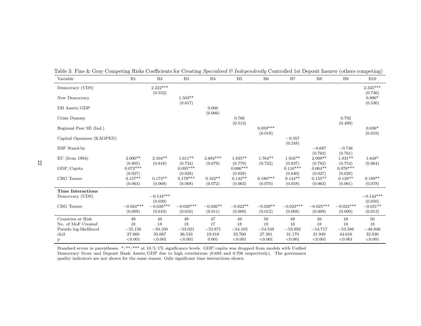| Variable                  | B1                              | $\rm B2$               | B3                               | B4                    | B5                              | B6                    | B7                              | B8                              | B9                              | <b>B10</b>                     |
|---------------------------|---------------------------------|------------------------|----------------------------------|-----------------------|---------------------------------|-----------------------|---------------------------------|---------------------------------|---------------------------------|--------------------------------|
| Democracy (UDS)           |                                 | $2.222***$             |                                  |                       |                                 |                       |                                 |                                 |                                 | $2.335***$                     |
| New Democracy             |                                 | (0.552)                | $1.503**$<br>(0.617)             |                       |                                 |                       |                                 |                                 |                                 | (0.746)<br>$0.890*$<br>(0.530) |
| DB Assets/GDP             |                                 |                        |                                  | 0.000                 |                                 |                       |                                 |                                 |                                 |                                |
| Crisis Dummy              |                                 |                        |                                  | (0.006)               | 0.766<br>(0.513)                |                       |                                 |                                 | 0.792<br>(0.499)                |                                |
| Regional Peer SE (Ind.)   |                                 |                        |                                  |                       |                                 | $0.059***$<br>(0.019) |                                 |                                 |                                 | $0.036*$<br>(0.019)            |
| Capital Openness (KAOPEN) |                                 |                        |                                  |                       |                                 |                       | $-0.357$<br>(0.248)             |                                 |                                 |                                |
| <b>IMF</b> Stand-by       |                                 |                        |                                  |                       |                                 |                       |                                 | $-0.687$<br>(0.763)             | $-0.746$<br>(0.761)             |                                |
| $EU$ (from 1994)          | $2.000**$                       | $2.104**$              | $1.611**$                        | $2.694***$            | $1.835**$                       | $1.764**$             | $1.916**$                       | $2.009**$                       | $1.831**$                       | $1.648*$                       |
| $GDP/C$ apita             | (0.805)<br>$0.072***$           | (0.818)                | (0.734)<br>$0.095***$            | (0.679)               | (0.779)<br>$0.086***$           | (0.722)               | (0.837)<br>$0.110***$           | (0.782)<br>$0.064**$            | (0.754)<br>$0.078***$           | (0.864)                        |
| CBG Tenure                | (0.027)<br>$0.157**$<br>(0.064) | $0.173**$<br>(0.069)   | (0.028)<br>$0.179***$<br>(0.068) | $0.162**$<br>(0.072)  | (0.028)<br>$0.142**$<br>(0.063) | $0.186***$<br>(0.070) | (0.040)<br>$0.144**$<br>(0.058) | (0.027)<br>$0.155**$<br>(0.063) | (0.028)<br>$0.139**$<br>(0.061) | $0.189**$<br>(0.078)           |
| <b>Time Interactions</b>  |                                 |                        |                                  |                       |                                 |                       |                                 |                                 |                                 |                                |
| Democrary (UDS)           |                                 | $-0.144***$<br>(0.039) |                                  |                       |                                 |                       |                                 |                                 |                                 | $-0.144***$<br>(0.050)         |
| CBG Tenure                | $-0.024***$<br>(0.009)          | $-0.026***$<br>(0.010) | $-0.028***$<br>(0.010)           | $-0.026**$<br>(0.011) | $-0.022**$<br>(0.009)           | $-0.029**$<br>(0.012) | $-0.023***$<br>(0.008)          | $-0.025***$<br>(0.009)          | $-0.022***$<br>(0.009)          | $-0.031**$<br>(0.013)          |
| Countries at Risk         | 49                              | 49                     | 49                               | 47                    | 49                              | 50                    | 49                              | 49                              | 49                              | 50                             |
| No. of MoF Created        | 18                              | 18                     | 18                               | 17                    | 18                              | 18                    | 18                              | 18                              | 18                              | 18                             |
| Pseudo log-likelihood     | $-55.156$                       | $-50.100$              | $-53.021$                        | $-53.871$             | $-54.103$                       | $-54.549$             | $-53.892$                       | $-54.717$                       | $-53.586$                       | $-48.846$                      |
| chi <sub>2</sub>          | 27.660                          | 35.067                 | 26.533                           | 19.818                | 33.760                          | 27.381                | 31.179                          | 31.949                          | 44.616                          | 32.830                         |
| $\mathbf{p}$              | < 0.001                         | < 0.001                | < 0.001                          | 0.001                 | < 0.001                         | < 0.001               | < 0.001                         | < 0.001                         | < 0.001                         | < 0.001                        |

Table 3: Fine & Gray Competing Risks Coefficients for Creating *Specialised & Independently* Controlled 1st Deposit Insurer (others competing)

Standard errors in parentheses. \*/\*\*/\*\*\* at 10/5/1% significance levels. GDP/capita was dropped from models with Unified<br>Democracy Score and Deposit Bank Assets/GDP due to high correlations (0.693 and 0.708 respectively). quality indicators are not shown for the same reason. Only significant time interactions shown.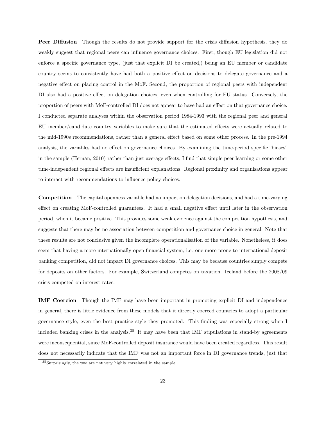Peer Diffusion Though the results do not provide support for the crisis diffusion hypothesis, they do weakly suggest that regional peers can influence governance choices. First, though EU legislation did not enforce a specific governance type, (just that explicit DI be created,) being an EU member or candidate country seems to consistently have had both a positive effect on decisions to delegate governance and a negative effect on placing control in the MoF. Second, the proportion of regional peers with independent DI also had a positive effect on delegation choices, even when controlling for EU status. Conversely, the proportion of peers with MoF-controlled DI does not appear to have had an effect on that governance choice. I conducted separate analyses within the observation period 1984-1993 with the regional peer and general EU member/candidate country variables to make sure that the estimated effects were actually related to the mid-1990s recommendations, rather than a general effect based on some other process. In the pre-1994 analysis, the variables had no effect on governance choices. By examining the time-period specific "biases" in the sample (Hernán, 2010) rather than just average effects, I find that simple peer learning or some other time-independent regional effects are insufficient explanations. Regional proximity and organisations appear to interact with recommendations to influence policy choices.

Competition The capital openness variable had no impact on delegation decisions, and had a time-varying effect on creating MoF-controlled guarantees. It had a small negative effect until later in the observation period, when it became positive. This provides some weak evidence against the competition hypothesis, and suggests that there may be no association between competition and governance choice in general. Note that these results are not conclusive given the incomplete operationalisation of the variable. Nonetheless, it does seem that having a more internationally open financial system, i.e. one more prone to international deposit banking competition, did not impact DI governance choices. This may be because countries simply compete for deposits on other factors. For example, Switzerland competes on taxation. Iceland before the 2008/09 crisis competed on interest rates.

IMF Coercion Though the IMF may have been important in promoting explicit DI and independence in general, there is little evidence from these models that it directly coerced countries to adopt a particular governance style, even the best practice style they promoted. This finding was especially strong when I included banking crises in the analysis.<sup>35</sup> It may have been that IMF stipulations in stand-by agreements were inconsequential, since MoF-controlled deposit insurance would have been created regardless. This result does not necessarily indicate that the IMF was not an important force in DI governance trends, just that

<sup>35</sup>Surprisingly, the two are not very highly correlated in the sample.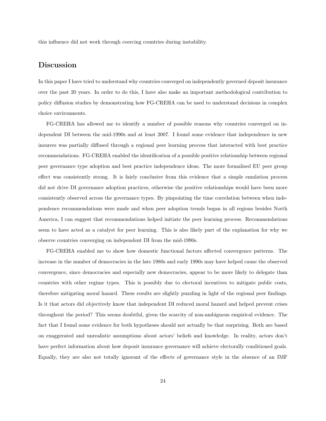this influence did not work through coercing countries during instability.

## Discussion

In this paper I have tried to understand why countries converged on independently governed deposit insurance over the past 20 years. In order to do this, I have also make an important methodological contribution to policy diffusion studies by demonstrating how FG-CREHA can be used to understand decisions in complex choice environments.

FG-CREHA has allowed me to identify a number of possible reasons why countries converged on independent DI between the mid-1990s and at least 2007. I found some evidence that independence in new insurers was partially diffused through a regional peer learning process that interacted with best practice recommendations. FG-CREHA enabled the identification of a possible positive relationship between regional peer governance type adoption and best practice independence ideas. The more formalised EU peer group effect was consistently strong. It is fairly conclusive from this evidence that a simple emulation process did not drive DI governance adoption practices, otherwise the positive relationships would have been more consistently observed across the governance types. By pinpointing the time correlation between when independence recommendations were made and when peer adoption trends began in all regions besides North America, I can suggest that recommendations helped initiate the peer learning process. Recommendations seem to have acted as a catalyst for peer learning. This is also likely part of the explanation for why we observe countries converging on independent DI from the mid-1990s.

FG-CREHA enabled me to show how domestic functional factors affected convergence patterns. The increase in the number of democracies in the late 1980s and early 1990s may have helped cause the observed convergence, since democracies and especially new democracies, appear to be more likely to delegate than countries with other regime types. This is possibly due to electoral incentives to mitigate public costs, therefore mitigating moral hazard. These results are slightly puzzling in light of the regional peer findings. Is it that actors did objectively know that independent DI reduced moral hazard and helped prevent crises throughout the period? This seems doubtful, given the scarcity of non-ambiguous empirical evidence. The fact that I found some evidence for both hypotheses should not actually be that surprising. Both are based on exaggerated and unrealistic assumptions about actors' beliefs and knowledge. In reality, actors don't have perfect information about how deposit insurance governance will achieve electorally conditioned goals. Equally, they are also not totally ignorant of the effects of governance style in the absence of an IMF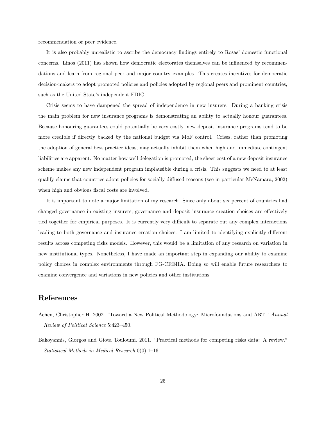recommendation or peer evidence.

It is also probably unrealistic to ascribe the democracy findings entirely to Rosas' domestic functional concerns. Linos (2011) has shown how democratic electorates themselves can be influenced by recommendations and learn from regional peer and major country examples. This creates incentives for democratic decision-makers to adopt promoted policies and policies adopted by regional peers and prominent countries, such as the United State's independent FDIC.

Crisis seems to have dampened the spread of independence in new insurers. During a banking crisis the main problem for new insurance programs is demonstrating an ability to actually honour guarantees. Because honouring guarantees could potentially be very costly, new deposit insurance programs tend to be more credible if directly backed by the national budget via MoF control. Crises, rather than promoting the adoption of general best practice ideas, may actually inhibit them when high and immediate contingent liabilities are apparent. No matter how well delegation is promoted, the sheer cost of a new deposit insurance scheme makes any new independent program implausible during a crisis. This suggests we need to at least qualify claims that countries adopt policies for socially diffused reasons (see in particular McNamara, 2002) when high and obvious fiscal costs are involved.

It is important to note a major limitation of my research. Since only about six percent of countries had changed governance in existing insurers, governance and deposit insurance creation choices are effectively tied together for empirical purposes. It is currently very difficult to separate out any complex interactions leading to both governance and insurance creation choices. I am limited to identifying explicitly different results across competing risks models. However, this would be a limitation of any research on variation in new institutional types. Nonetheless, I have made an important step in expanding our ability to examine policy choices in complex environments through FG-CREHA. Doing so will enable future researchers to examine convergence and variations in new policies and other institutions.

## References

- Achen, Christopher H. 2002. "Toward a New Political Methodology: Microfoundations and ART." *Annual Review of Political Science* 5:423–450.
- Bakoyannis, Giorgos and Giota Touloumi. 2011. "Practical methods for competing risks data: A review." *Statistical Methods in Medical Research* 0(0):1–16.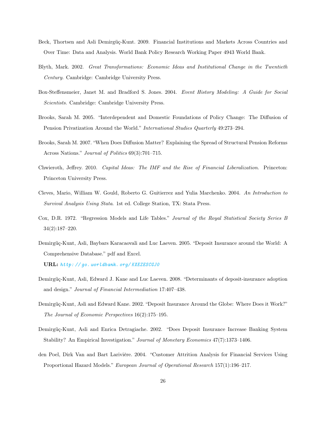- Beck, Thortsen and Asli Demirgüç-Kunt. 2009. Financial Institutions and Markets Across Countries and Over Time: Data and Analysis. World Bank Policy Research Working Paper 4943 World Bank.
- Blyth, Mark. 2002. *Great Transformations: Economic Ideas and Institutional Change in the Twentieth Century*. Cambridge: Cambridge University Press.
- Box-Steffensmeier, Janet M. and Bradford S. Jones. 2004. *Event History Modeling: A Guide for Social Scientists*. Cambridge: Cambridge University Press.
- Brooks, Sarah M. 2005. "Interdependent and Domestic Foundations of Policy Change: The Diffusion of Pension Privatization Around the World." *International Studies Quarterly* 49:273–294.
- Brooks, Sarah M. 2007. "When Does Diffusion Matter? Explaining the Spread of Structural Pension Reforms Across Nations." *Journal of Politics* 69(3):701–715.
- Chwieroth, Jeffrey. 2010. *Capital Ideas: The IMF and the Rise of Financial Liberalization*. Princeton: Princeton University Press.
- Cleves, Mario, William W. Gould, Roberto G. Guitierrez and Yulia Marchenko. 2004. *An Introduction to Survival Analysis Using Stata*. 1st ed. College Station, TX: Stata Press.
- Cox, D.R. 1972. "Regression Models and Life Tables." *Journal of the Royal Statistical Society Series B* 34(2):187–220.
- Demirgüç-Kunt, Asli, Baybars Karacaovali and Luc Laeven. 2005. "Deposit Insurance around the World: A Comprehensive Database." pdf and Excel.

URL: *http: // go. worldbank. org/ KXEZESCGJ0*

- Demirgüç-Kunt, Asli, Edward J. Kane and Luc Laeven. 2008. "Determinants of deposit-insurance adoption and design." *Journal of Financial Intermediation* 17:407–438.
- Demirgüç-Kunt, Asli and Edward Kane. 2002. "Deposit Insurance Around the Globe: Where Does it Work?" *The Journal of Economic Perspectives* 16(2):175–195.
- Demirgüç-Kunt, Asli and Enrica Detragiache. 2002. "Does Deposit Insurance Increase Banking System Stability? An Empirical Investigation." *Journal of Monetary Economics* 47(7):1373–1406.
- den Poel, Dirk Van and Bart Larivière. 2004. "Customer Attrition Analysis for Financial Services Using Proportional Hazard Models." *European Journal of Operational Research* 157(1):196–217.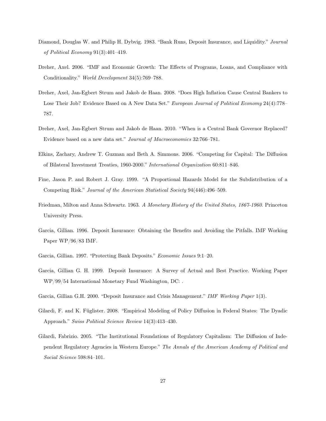- Diamond, Douglas W. and Philip H. Dybvig. 1983. "Bank Runs, Deposit Insurance, and Liquidity." *Journal of Political Economy* 91(3):401–419.
- Dreher, Axel. 2006. "IMF and Economic Growth: The Effects of Programs, Loans, and Compliance with Conditionality." *World Development* 34(5):769–788.
- Dreher, Axel, Jan-Egbert Strum and Jakob de Haan. 2008. "Does High Inflation Cause Central Bankers to Lose Their Job? Evidence Based on A New Data Set." *European Journal of Political Economy* 24(4):778– 787.
- Dreher, Axel, Jan-Egbert Strum and Jakob de Haan. 2010. "When is a Central Bank Governor Replaced? Evidence based on a new data set." *Journal of Macroeconomics* 32:766–781.
- Elkins, Zachary, Andrew T. Guzman and Beth A. Simmons. 2006. "Competing for Capital: The Diffusion of Bilateral Investment Treaties, 1960-2000." *International Organization* 60:811–846.
- Fine, Jason P. and Robert J. Gray. 1999. "A Proportional Hazards Model for the Subdistribution of a Competing Risk." *Journal of the American Statistical Society* 94(446):496–509.
- Friedman, Milton and Anna Schwartz. 1963. *A Monetary History of the United States, 1867-1960*. Princeton University Press.
- Garcia, Gillian. 1996. Deposit Insurance: Obtaining the Benefits and Avoiding the Pitfalls. IMF Working Paper WP/96/83 IMF.
- Garcia, Gillian. 1997. "Protecting Bank Deposits." *Economic Issues* 9:1–20.
- Garcia, Gillian G. H. 1999. Deposit Insurance: A Survey of Actual and Best Practice. Working Paper WP/99/54 International Monetary Fund Washington, DC: .
- Garcia, Gillian G.H. 2000. "Deposit Insurance and Crisis Management." *IMF Working Paper* 1(3).
- Gilardi, F. and K. Füglister. 2008. "Empirical Modeling of Policy Diffusion in Federal States: The Dyadic Approach." *Swiss Political Science Review* 14(3):413–430.
- Gilardi, Fabrizio. 2005. "The Institutional Foundations of Regulatory Capitalism: The Diffusion of Independent Regulatory Agencies in Western Europe." *The Annals of the American Academy of Political and Social Science* 598:84–101.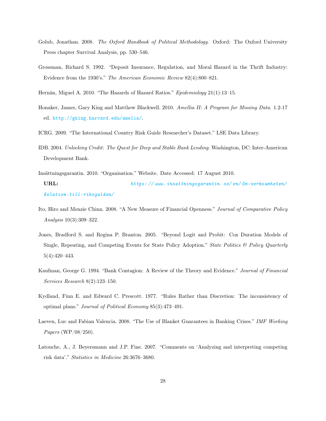- Golub, Jonathan. 2008. *The Oxford Handbook of Political Methodology*. Oxford: The Oxford University Press chapter Survival Analysis, pp. 530–546.
- Grossman, Richard S. 1992. "Deposit Insurance, Regulation, and Moral Hazard in the Thrift Industry: Evidence from the 1930's." *The American Economic Review* 82(4):800–821.
- Hernán, Miguel A. 2010. "The Hazards of Hazard Ratios." *Epidemiology* 21(1):13–15.
- Honaker, James, Gary King and Matthew Blackwell. 2010. *Amellia II: A Program for Missing Data*. 1.2-17 ed. http://gking.harvard.edu/amelia/.
- ICRG. 2009. "The International Country Risk Guide Researcher's Dataset." LSE Data Library.
- IDB. 2004. *Unlocking Credit: The Quest for Deep and Stable Bank Lending*. Washington, DC: Inter-American Development Bank.
- Insättningsgarantin. 2010. "Organisation." Website. Date Accessed: 17 August 2010.

URL: *https: // www. insattningsgarantin. se/ en/ Om-verksamheten/ Relation-till-riksgalden/*

- Ito, Hiro and Menzie Chinn. 2008. "A New Measure of Financial Openness." *Journal of Comparative Policy Analysis* 10(3):309–322.
- Jones, Bradford S. and Regina P. Branton. 2005. "Beyond Logit and Probit: Cox Duration Models of Single, Repeating, and Competing Events for State Policy Adoption." *State Politics & Policy Quarterly* 5(4):420–443.
- Kaufman, George G. 1994. "Bank Contagion: A Review of the Theory and Evidence." *Journal of Financial Services Research* 8(2):123–150.
- Kydland, Finn E. and Edward C. Prescott. 1977. "Rules Rather than Discretion: The inconsistency of optimal plans." *Journal of Political Economy* 85(3):473–491.
- Laeven, Luc and Fabian Valencia. 2008. "The Use of Blanket Guarantees in Banking Crises." *IMF Working Papers* (WP/08/250).
- Latouche, A., J. Beyersmann and J.P. Fine. 2007. "Comments on 'Analyzing and interpreting competing risk data'." *Statistics in Medicine* 26:3676–3680.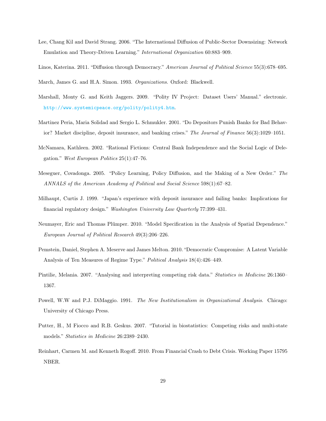- Lee, Chang Kil and David Strang. 2006. "The International Diffusion of Public-Sector Downsizing: Network Emulation and Theory-Driven Learning." *International Organization* 60:883–909.
- Linos, Katerina. 2011. "Diffusion through Democracy." *American Journal of Political Science* 55(3):678–695.

March, James G. and H.A. Simon. 1993. *Organizations*. Oxford: Blackwell.

- Marshall, Monty G. and Keith Jaggers. 2009. "Polity IV Project: Dataset Users' Manual." electronic. http://www.systemicpeace.org/polity/polity4.htm.
- Martinez Peria, Maria Solidad and Sergio L. Schmukler. 2001. "Do Depositors Punish Banks for Bad Behavior? Market discipline, deposit insurance, and banking crises." *The Journal of Finance* 56(3):1029–1051.
- McNamara, Kathleen. 2002. "Rational Fictions: Central Bank Independence and the Social Logic of Delegation." *West European Politics* 25(1):47–76.
- Meseguer, Covadonga. 2005. "Policy Learning, Policy Diffusion, and the Making of a New Order." *The ANNALS of the American Academy of Political and Social Science* 598(1):67–82.
- Milhaupt, Curtis J. 1999. "Japan's experience with deposit insurance and failing banks: Implications for financial regulatory design." *Washington University Law Quarterly* 77:399–431.
- Neumayer, Eric and Thomas Plümper. 2010. "Model Specification in the Analysis of Spatial Dependence." *European Journal of Political Research* 49(3):206–226.
- Pemstein, Daniel, Stephen A. Meserve and James Melton. 2010. "Democratic Compromise: A Latent Variable Analysis of Ten Measures of Regime Type." *Political Analysis* 18(4):426–449.
- Pintilie, Melania. 2007. "Analysing and interpreting competing risk data." *Statistics in Medicine* 26:1360– 1367.
- Powell, W.W and P.J. DiMaggio. 1991. *The New Institutionalism in Organizational Analysis*. Chicago: University of Chicago Press.
- Putter, H., M Fiocco and R.B. Geskus. 2007. "Tutorial in biostatistics: Competing risks and multi-state models." *Statistics in Medicine* 26:2389–2430.
- Reinhart, Carmen M. and Kenneth Rogoff. 2010. From Financial Crash to Debt Crisis. Working Paper 15795 NBER.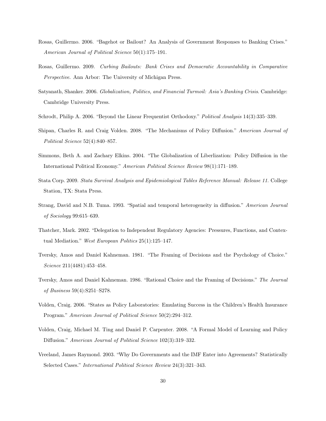- Rosas, Guillermo. 2006. "Bagehot or Bailout? An Analysis of Government Responses to Banking Crises." *American Journal of Political Science* 50(1):175–191.
- Rosas, Guillermo. 2009. *Curbing Bailouts: Bank Crises and Democratic Accountability in Comparative Perspective*. Ann Arbor: The University of Michigan Press.
- Satyanath, Shanker. 2006. *Globalization, Politics, and Financial Turmoil: Asia's Banking Crisis*. Cambridge: Cambridge University Press.
- Schrodt, Philip A. 2006. "Beyond the Linear Frequentist Orthodoxy." *Political Analysis* 14(3):335–339.
- Shipan, Charles R. and Craig Volden. 2008. "The Mechanisms of Policy Diffusion." *American Journal of Political Science* 52(4):840–857.
- Simmons, Beth A. and Zachary Elkins. 2004. "The Globalization of Liberlization: Policy Diffusion in the International Political Economy." *American Political Science Review* 98(1):171–189.
- Stata Corp. 2009. *Stata Survival Analysis and Epidemiological Tables Reference Manual: Release 11*. College Station, TX: Stata Press.
- Strang, David and N.B. Tuma. 1993. "Spatial and temporal heterogeneity in diffusion." *American Journal of Sociology* 99:615–639.
- Thatcher, Mark. 2002. "Delegation to Independent Regulatory Agencies: Pressures, Functions, and Contextual Mediation." *West European Politics* 25(1):125–147.
- Tversky, Amos and Daniel Kahneman. 1981. "The Framing of Decisions and the Psychology of Choice." *Science* 211(4481):453–458.
- Tversky, Amos and Daniel Kahneman. 1986. "Rational Choice and the Framing of Decisions." *The Journal of Business* 59(4):S251–S278.
- Volden, Craig. 2006. "States as Policy Laboratories: Emulating Success in the Children's Health Insurance Program." *American Journal of Political Science* 50(2):294–312.
- Volden, Craig, Michael M. Ting and Daniel P. Carpenter. 2008. "A Formal Model of Learning and Policy Diffusion." *American Journal of Political Science* 102(3):319–332.
- Vreeland, James Raymond. 2003. "Why Do Governments and the IMF Enter into Agreements? Statistically Selected Cases." *International Political Science Review* 24(3):321–343.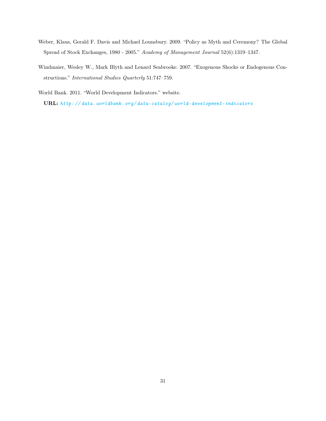- Weber, Klaus, Gerald F. Davis and Michael Lounsbury. 2009. "Policy as Myth and Ceremony? The Global Spread of Stock Exchanges, 1980 - 2005." *Academy of Management Journal* 52(6):1319–1347.
- Windmaier, Wesley W., Mark Blyth and Lenard Seabrooke. 2007. "Exogenous Shocks or Endogenous Constructions." *International Studies Quarterly* 51:747–759.

World Bank. 2011. "World Development Indicators." website.

URL: *http: // data. worldbank. org/ data-catalog/ world-development-indicators*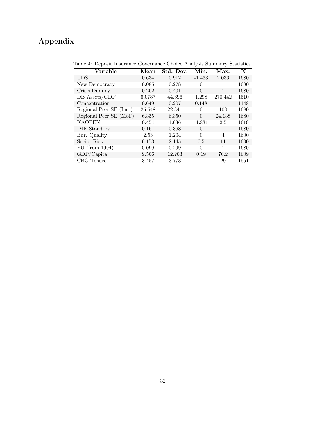## Appendix

| Variable                | Mean   | Std. Dev. | Min.     | Max.    | $\mathbf N$ |
|-------------------------|--------|-----------|----------|---------|-------------|
| <b>UDS</b>              | 0.634  | 0.912     | $-1.433$ | 2.036   | 1680        |
| New Democracy           | 0.085  | 0.278     | $\theta$ |         | 1680        |
| Crisis Dummy            | 0.202  | 0.401     | $\Omega$ | 1       | 1680        |
| DB Assets/GDP           | 60.787 | 44.696    | 1.298    | 270.442 | 1510        |
| Concentration           | 0.649  | 0.207     | 0.148    | 1       | 1148        |
| Regional Peer SE (Ind.) | 25.548 | 22.341    | $\Omega$ | 100     | 1680        |
| Regional Peer SE (MoF)  | 6.335  | 6.350     | $\Omega$ | 24.138  | 1680        |
| <b>KAOPEN</b>           | 0.454  | 1.636     | $-1.831$ | 2.5     | 1619        |
| IMF Stand-by            | 0.161  | 0.368     | $\Omega$ | 1       | 1680        |
| Bur. Quality            | 2.53   | 1.204     | $\Omega$ | 4       | 1600        |
| Socio. Risk             | 6.173  | 2.145     | 0.5      | 11      | 1600        |
| $EU$ (from 1994)        | 0.099  | 0.299     | $\Omega$ | 1       | 1680        |
| GDP/Capita              | 9.506  | 12.203    | 0.19     | 76.2    | 1609        |
| CBG Tenure              | 3.457  | 3.773     | -1       | 29      | 1551        |

Table 4: Deposit Insurance Governance Choice Analysis Summary Statistics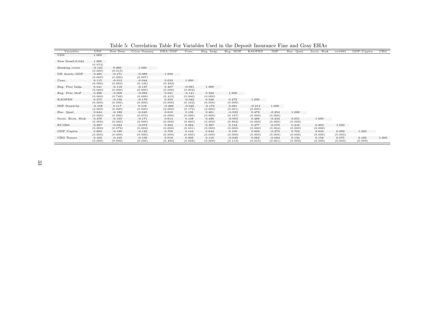| Variables         | UDS      | New Dem  | Crisis Dummy | DBA/GDP  | Conc.    | Reg. Indp. | Reg. MOF | KAOPEN   | IMF      | Bur. Qual. | Socio. Risk | eu1994  | GDP/Capita | CBG   |
|-------------------|----------|----------|--------------|----------|----------|------------|----------|----------|----------|------------|-------------|---------|------------|-------|
| <b>UDS</b>        | 1.000    |          |              |          |          |            |          |          |          |            |             |         |            |       |
|                   |          |          |              |          |          |            |          |          |          |            |             |         |            |       |
| New Dem5-0.044    | 1.000    |          |              |          |          |            |          |          |          |            |             |         |            |       |
|                   | (0.073)  |          |              |          |          |            |          |          |          |            |             |         |            |       |
| Banking crises    | $-0.122$ | 0.060    | 1.000        |          |          |            |          |          |          |            |             |         |            |       |
|                   | (0.000)  | (0.013)  |              |          |          |            |          |          |          |            |             |         |            |       |
| DB Assets/GDP     | 0.485    | $-0.171$ | $-0.069$     | 1.000    |          |            |          |          |          |            |             |         |            |       |
|                   | (0.000)  | (0.000)  | (0.007)      |          |          |            |          |          |          |            |             |         |            |       |
| Conc.             | 0.115    | $-0.013$ | $-0.044$     | 0.033    | 1.000    |            |          |          |          |            |             |         |            |       |
|                   | (0.000)  | (0.650)  | (0.135)      | (0.283)  |          |            |          |          |          |            |             |         |            |       |
| Reg. Peer Indp.   | 0.541    | $-0.118$ | $-0.137$     | 0.407    | $-0.091$ | 1.000      |          |          |          |            |             |         |            |       |
|                   | (0.000)  | (0.000)  | (0.000)      | (0.000)  | (0.002)  |            |          |          |          |            |             |         |            |       |
| Reg. Peer MoF     | 0.296    | $-0.008$ | $-0.093$     | 0.021    | $-0.141$ | 0.322      | 1.000    |          |          |            |             |         |            |       |
|                   | (0.000)  | (0.749)  | (0.000)      | (0.410)  | (0.000)  | (0.000)    |          |          |          |            |             |         |            |       |
| KAOPEN            | 0.575    | $-0.156$ | $-0.179$     | 0.553    | $-0.042$ | 0.548      | 0.272    | 1.000    |          |            |             |         |            |       |
|                   | (0.000)  | (0.000)  | (0.000)      | (0.000)  | (0.163)  | (0.000)    | (0.000)  |          |          |            |             |         |            |       |
| IMF Stand-by      | $-0.158$ | 0.117    | 0.118        | $-0.286$ | $-0.040$ | $-0.174$   | 0.081    | $-0.214$ | 1.000    |            |             |         |            |       |
|                   | (0.000)  | (0.000)  | (0.000)      | (0.000)  | (0.173)  | (0.000)    | (0.001)  | (0.000)  |          |            |             |         |            |       |
| Bur. Qual.        | 0.644    | $-0.188$ | $-0.045$     | 0.616    | 0.136    | 0.461      | $-0.033$ | 0.472    | $-0.254$ | 1.000      |             |         |            |       |
|                   | (0.000)  | (0.000)  | (0.072)      | (0.000)  | (0.000)  | (0.000)    | (0.187)  | (0.000)  | (0.000)  |            |             |         |            |       |
| Socio. Econ. Risk | 0.476    | $-0.155$ | $-0.171$     | 0.614    | 0.138    | 0.436      | $-0.003$ | 0.486    | $-0.234$ | 0.651      | 1.000       |         |            |       |
|                   | (0.000)  | (0.000)  | (0.000)      | (0.000)  | (0.000)  | (0.000)    | (0.902)  | (0.000)  | (0.000)  | (0.000)    |             |         |            |       |
| EU1994            | 0.287    | $-0.044$ | $-0.073$     | 0.202    | 0.064    | 0.397      | 0.134    | 0.277    | $-0.070$ | 0.216      | 0.202       | 1.000   |            |       |
|                   | (0.000)  | (0.073)  | (0.003)      | (0.000)  | (0.031)  | (0.000)    | (0.000)  | (0.000)  | (0.004)  | (0.000)    | (0.000)     |         |            |       |
| GDP/Capita        | 0.693    | $-0.190$ | $-0.122$     | 0.708    | 0.144    | 0.644      | 0.100    | 0.609    | $-0.273$ | 0.702      | 0.642       | 0.292   | 1.000      |       |
|                   | (0.000)  | (0.000)  | (0.000)      | (0.000)  | (0.000)  | (0.000)    | (0.000)  | (0.000)  | (0.000)  | (0.000)    | (0.000)     | (0.000) |            |       |
| CBG Tenure        | 0.102    | $-0.105$ | $-0.100$     | 0.018    | 0.006    | 0.116      | $-0.040$ | 0.062    | $-0.084$ | 0.134      | 0.156       | 0.075   | 0.162      | 1.000 |
|                   | (0.000)  | (0.000)  | (0.000)      | (0.495)  | (0.838)  | (0.000)    | (0.113)  | (0.015)  | (0.001)  | (0.000)    | (0.000)     | (0.003) | (0.000)    |       |

Table 5: Correlation Table For Variables Used in the Deposit Insurance Fine and Gray EHAs